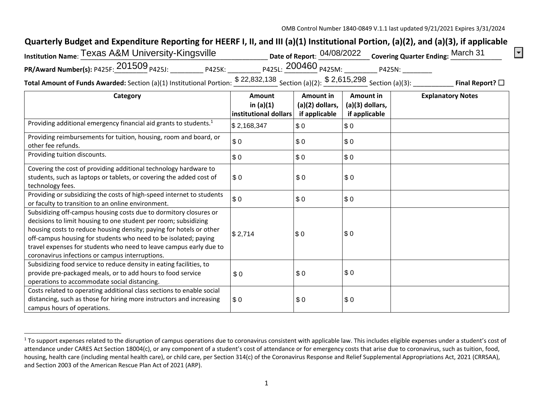OMB Control Number 1840-0849 V.1.1 last updated 9/21/2021 Expires 3/31/2024

 $\boxed{\mathbf{I}}$ 

## **Quarterly Budget and Expenditure Reporting for HEERF I, II, and III (a)(1) Institutional Portion, (a)(2), and (a)(3), if applicable**

| Institution Name: Texas A&M University-Kingsville |        |                                                                           | Date of Report: 04/08/2022 Covering Quarter Ending: March 31 |
|---------------------------------------------------|--------|---------------------------------------------------------------------------|--------------------------------------------------------------|
| PR/Award Number(s): P425F: $201509$ $_{P425J:}$   | P425K: | P425L: 200460 <sub>P425M:</sub>                                           | P425N:                                                       |
|                                                   |        | $C$ $\Omega$ $C$ $A$ $E$ $\Omega$ $\Omega$<br><b>ሮ <i>ጎጎ</i> ደ</b> 2ን 12Ջ |                                                              |

**Total Amount of Funds Awarded:** Section (a)(1) Institutional Portion: \$22,832,138 Section (a)(2): \$2,615,298 Section (a)(3): \_\_\_\_\_\_\_\_\_\_\_\_\_\_ **Final Report?** □

| Category                                                                                                                                                                                                                                                                                                                                                                                                | Amount<br>in $(a)(1)$<br>institutional dollars | Amount in<br>$(a)(2)$ dollars,<br>if applicable | Amount in<br>$(a)(3)$ dollars,<br>if applicable | <b>Explanatory Notes</b> |
|---------------------------------------------------------------------------------------------------------------------------------------------------------------------------------------------------------------------------------------------------------------------------------------------------------------------------------------------------------------------------------------------------------|------------------------------------------------|-------------------------------------------------|-------------------------------------------------|--------------------------|
| Providing additional emergency financial aid grants to students. <sup>1</sup>                                                                                                                                                                                                                                                                                                                           | \$2,168,347                                    | \$0                                             | \$0                                             |                          |
| Providing reimbursements for tuition, housing, room and board, or<br>other fee refunds.                                                                                                                                                                                                                                                                                                                 | \$0                                            | \$0                                             | \$0                                             |                          |
| Providing tuition discounts.                                                                                                                                                                                                                                                                                                                                                                            | \$0                                            | \$0                                             | \$0                                             |                          |
| Covering the cost of providing additional technology hardware to<br>students, such as laptops or tablets, or covering the added cost of<br>technology fees.                                                                                                                                                                                                                                             | \$0                                            | \$0                                             | \$0                                             |                          |
| Providing or subsidizing the costs of high-speed internet to students<br>or faculty to transition to an online environment.                                                                                                                                                                                                                                                                             | \$0                                            | \$0                                             | \$0                                             |                          |
| Subsidizing off-campus housing costs due to dormitory closures or<br>decisions to limit housing to one student per room; subsidizing<br>housing costs to reduce housing density; paying for hotels or other<br>off-campus housing for students who need to be isolated; paying<br>travel expenses for students who need to leave campus early due to<br>coronavirus infections or campus interruptions. | \$2,714                                        | \$0                                             | \$0                                             |                          |
| Subsidizing food service to reduce density in eating facilities, to<br>provide pre-packaged meals, or to add hours to food service<br>operations to accommodate social distancing.                                                                                                                                                                                                                      | \$0                                            | \$0                                             | \$0                                             |                          |
| Costs related to operating additional class sections to enable social<br>distancing, such as those for hiring more instructors and increasing<br>campus hours of operations.                                                                                                                                                                                                                            | \$0                                            | \$0                                             | \$0                                             |                          |

<sup>&</sup>lt;sup>1</sup> To support expenses related to the disruption of campus operations due to coronavirus consistent with applicable law. This includes eligible expenses under a student's cost of attendance under CARES Act Section 18004(c), or any component of a student's cost of attendance or for emergency costs that arise due to coronavirus, such as tuition, food, housing, health care (including mental health care), or child care, per Section 314(c) of the Coronavirus Response and Relief Supplemental Appropriations Act, 2021 (CRRSAA), and Section 2003 of the American Rescue Plan Act of 2021 (ARP).